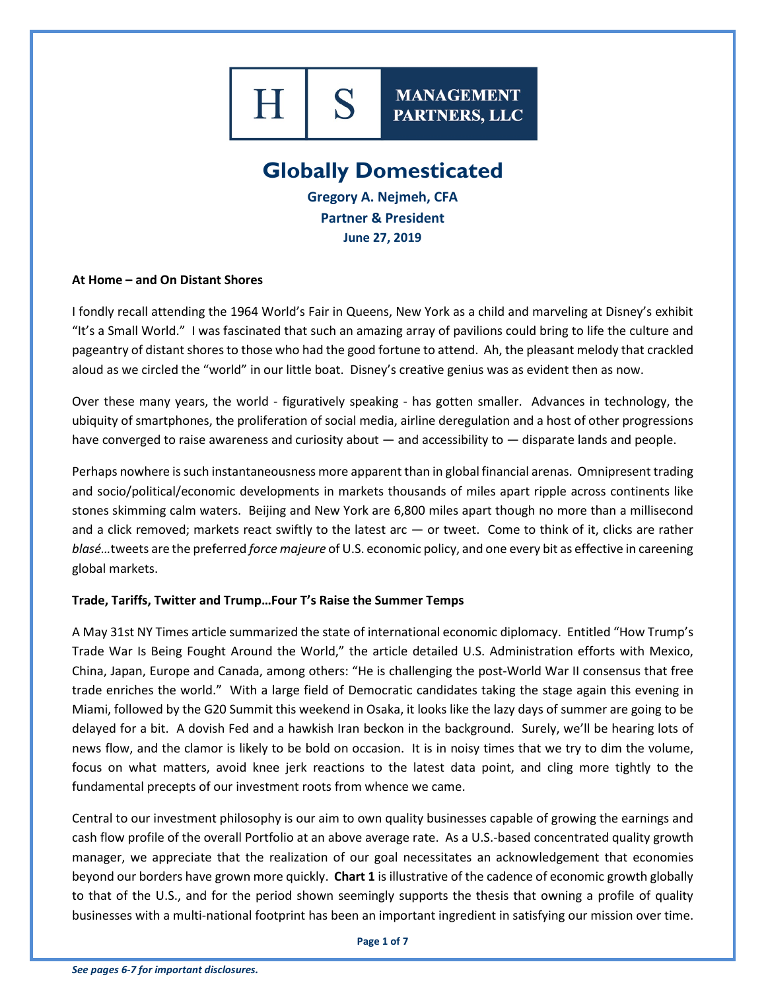

**MANAGEMENT** PARTNERS, LLC

# **Globally Domesticated**

**Gregory A. Nejmeh, CFA Partner & President June 27, 2019**

#### **At Home – and On Distant Shores**

I fondly recall attending the 1964 World's Fair in Queens, New York as a child and marveling at Disney's exhibit "It's a Small World." I was fascinated that such an amazing array of pavilions could bring to life the culture and pageantry of distant shores to those who had the good fortune to attend. Ah, the pleasant melody that crackled aloud as we circled the "world" in our little boat. Disney's creative genius was as evident then as now.

Over these many years, the world - figuratively speaking - has gotten smaller. Advances in technology, the ubiquity of smartphones, the proliferation of social media, airline deregulation and a host of other progressions have converged to raise awareness and curiosity about — and accessibility to — disparate lands and people.

Perhaps nowhere is such instantaneousness more apparent than in global financial arenas. Omnipresent trading and socio/political/economic developments in markets thousands of miles apart ripple across continents like stones skimming calm waters. Beijing and New York are 6,800 miles apart though no more than a millisecond and a click removed; markets react swiftly to the latest arc — or tweet. Come to think of it, clicks are rather *blasé…*tweets are the preferred *force majeure* of U.S. economic policy, and one every bit as effective in careening global markets.

## **Trade, Tariffs, Twitter and Trump…Four T's Raise the Summer Temps**

A May 31st NY Times article summarized the state of international economic diplomacy. Entitled "How Trump's Trade War Is Being Fought Around the World," the article detailed U.S. Administration efforts with Mexico, China, Japan, Europe and Canada, among others: "He is challenging the post-World War II consensus that free trade enriches the world." With a large field of Democratic candidates taking the stage again this evening in Miami, followed by the G20 Summit this weekend in Osaka, it looks like the lazy days of summer are going to be delayed for a bit. A dovish Fed and a hawkish Iran beckon in the background. Surely, we'll be hearing lots of news flow, and the clamor is likely to be bold on occasion. It is in noisy times that we try to dim the volume, focus on what matters, avoid knee jerk reactions to the latest data point, and cling more tightly to the fundamental precepts of our investment roots from whence we came.

Central to our investment philosophy is our aim to own quality businesses capable of growing the earnings and cash flow profile of the overall Portfolio at an above average rate. As a U.S.-based concentrated quality growth manager, we appreciate that the realization of our goal necessitates an acknowledgement that economies beyond our borders have grown more quickly. **Chart 1** is illustrative of the cadence of economic growth globally to that of the U.S., and for the period shown seemingly supports the thesis that owning a profile of quality businesses with a multi-national footprint has been an important ingredient in satisfying our mission over time.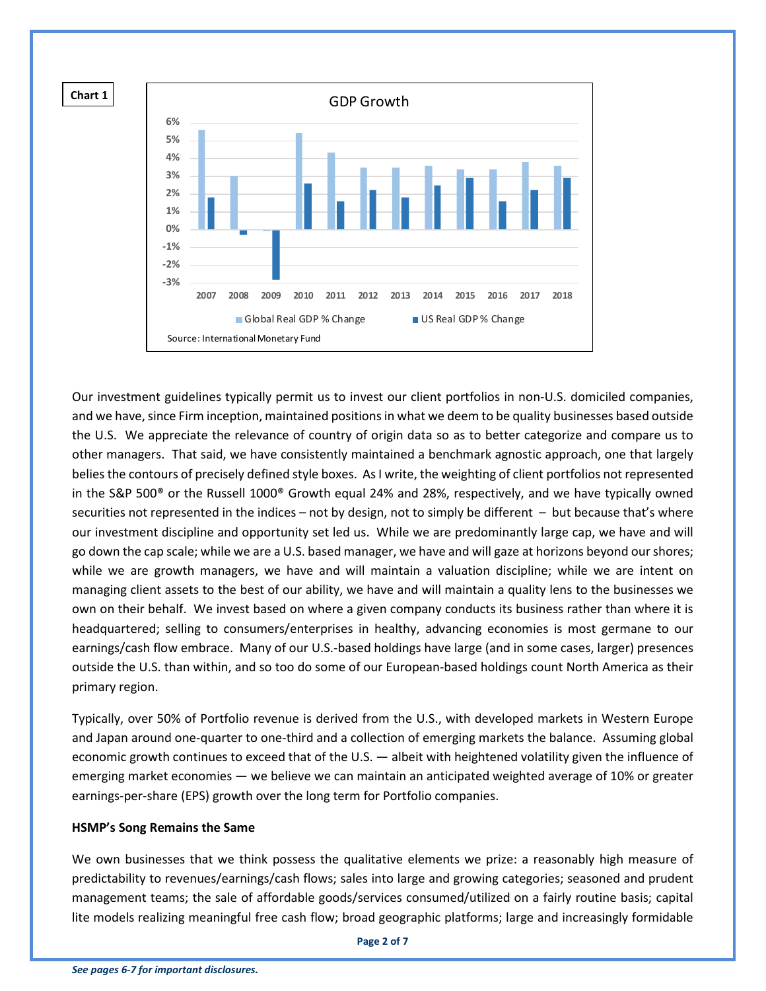

Our investment guidelines typically permit us to invest our client portfolios in non-U.S. domiciled companies, and we have, since Firm inception, maintained positions in what we deem to be quality businesses based outside the U.S. We appreciate the relevance of country of origin data so as to better categorize and compare us to other managers. That said, we have consistently maintained a benchmark agnostic approach, one that largely belies the contours of precisely defined style boxes. As I write, the weighting of client portfolios not represented in the S&P 500® or the Russell 1000® Growth equal 24% and 28%, respectively, and we have typically owned securities not represented in the indices – not by design, not to simply be different – but because that's where our investment discipline and opportunity set led us. While we are predominantly large cap, we have and will go down the cap scale; while we are a U.S. based manager, we have and will gaze at horizons beyond our shores; while we are growth managers, we have and will maintain a valuation discipline; while we are intent on managing client assets to the best of our ability, we have and will maintain a quality lens to the businesses we own on their behalf. We invest based on where a given company conducts its business rather than where it is headquartered; selling to consumers/enterprises in healthy, advancing economies is most germane to our earnings/cash flow embrace. Many of our U.S.-based holdings have large (and in some cases, larger) presences outside the U.S. than within, and so too do some of our European-based holdings count North America as their primary region.

Typically, over 50% of Portfolio revenue is derived from the U.S., with developed markets in Western Europe and Japan around one-quarter to one-third and a collection of emerging markets the balance. Assuming global economic growth continues to exceed that of the U.S. — albeit with heightened volatility given the influence of emerging market economies — we believe we can maintain an anticipated weighted average of 10% or greater earnings-per-share (EPS) growth over the long term for Portfolio companies.

#### **HSMP's Song Remains the Same**

We own businesses that we think possess the qualitative elements we prize: a reasonably high measure of predictability to revenues/earnings/cash flows; sales into large and growing categories; seasoned and prudent management teams; the sale of affordable goods/services consumed/utilized on a fairly routine basis; capital lite models realizing meaningful free cash flow; broad geographic platforms; large and increasingly formidable

**Page 2 of 7**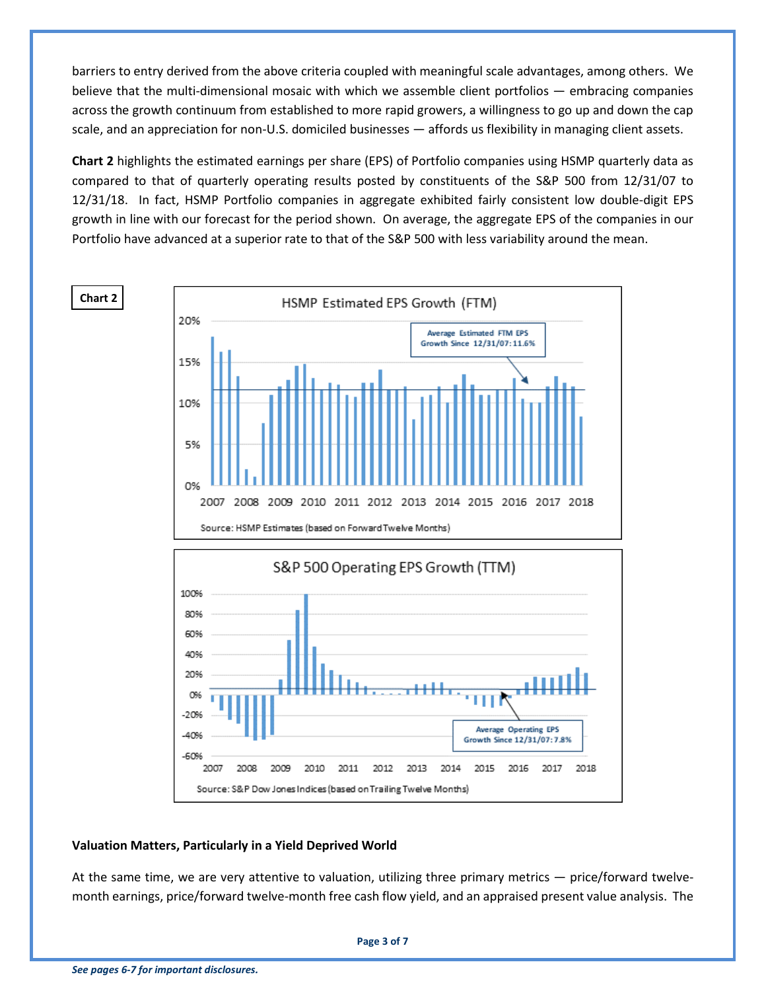barriers to entry derived from the above criteria coupled with meaningful scale advantages, among others. We believe that the multi-dimensional mosaic with which we assemble client portfolios — embracing companies across the growth continuum from established to more rapid growers, a willingness to go up and down the cap scale, and an appreciation for non-U.S. domiciled businesses — affords us flexibility in managing client assets.

**Chart 2** highlights the estimated earnings per share (EPS) of Portfolio companies using HSMP quarterly data as compared to that of quarterly operating results posted by constituents of the S&P 500 from 12/31/07 to 12/31/18. In fact, HSMP Portfolio companies in aggregate exhibited fairly consistent low double-digit EPS growth in line with our forecast for the period shown. On average, the aggregate EPS of the companies in our Portfolio have advanced at a superior rate to that of the S&P 500 with less variability around the mean.



## **Valuation Matters, Particularly in a Yield Deprived World**

At the same time, we are very attentive to valuation, utilizing three primary metrics — price/forward twelvemonth earnings, price/forward twelve-month free cash flow yield, and an appraised present value analysis. The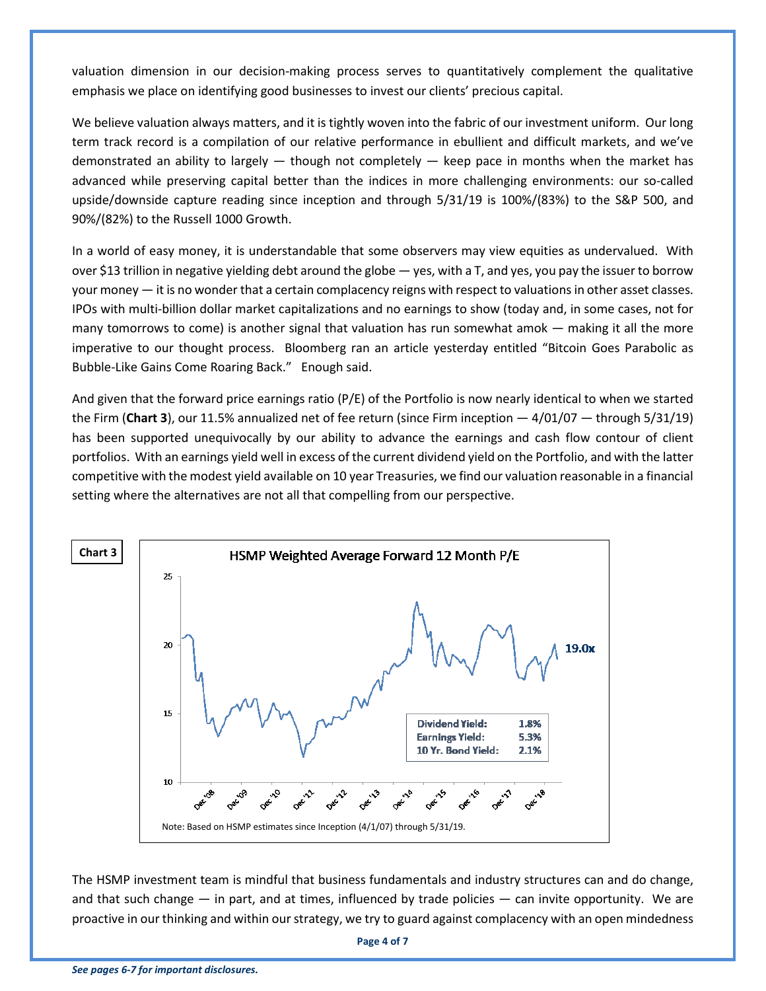valuation dimension in our decision-making process serves to quantitatively complement the qualitative emphasis we place on identifying good businesses to invest our clients' precious capital.

We believe valuation always matters, and it is tightly woven into the fabric of our investment uniform. Our long term track record is a compilation of our relative performance in ebullient and difficult markets, and we've demonstrated an ability to largely  $-$  though not completely  $-$  keep pace in months when the market has advanced while preserving capital better than the indices in more challenging environments: our so-called upside/downside capture reading since inception and through 5/31/19 is 100%/(83%) to the S&P 500, and 90%/(82%) to the Russell 1000 Growth.

In a world of easy money, it is understandable that some observers may view equities as undervalued. With over \$13 trillion in negative yielding debt around the globe — yes, with a T, and yes, you pay the issuer to borrow your money — it is no wonder that a certain complacency reigns with respect to valuations in other asset classes. IPOs with multi-billion dollar market capitalizations and no earnings to show (today and, in some cases, not for many tomorrows to come) is another signal that valuation has run somewhat amok — making it all the more imperative to our thought process. Bloomberg ran an article yesterday entitled "Bitcoin Goes Parabolic as Bubble-Like Gains Come Roaring Back." Enough said.

And given that the forward price earnings ratio (P/E) of the Portfolio is now nearly identical to when we started the Firm (**Chart 3**), our 11.5% annualized net of fee return (since Firm inception — 4/01/07 — through 5/31/19) has been supported unequivocally by our ability to advance the earnings and cash flow contour of client portfolios. With an earnings yield well in excess of the current dividend yield on the Portfolio, and with the latter competitive with the modest yield available on 10 year Treasuries, we find our valuation reasonable in a financial setting where the alternatives are not all that compelling from our perspective.



The HSMP investment team is mindful that business fundamentals and industry structures can and do change, and that such change — in part, and at times, influenced by trade policies — can invite opportunity. We are proactive in our thinking and within our strategy, we try to guard against complacency with an open mindedness

**Page 4 of 7**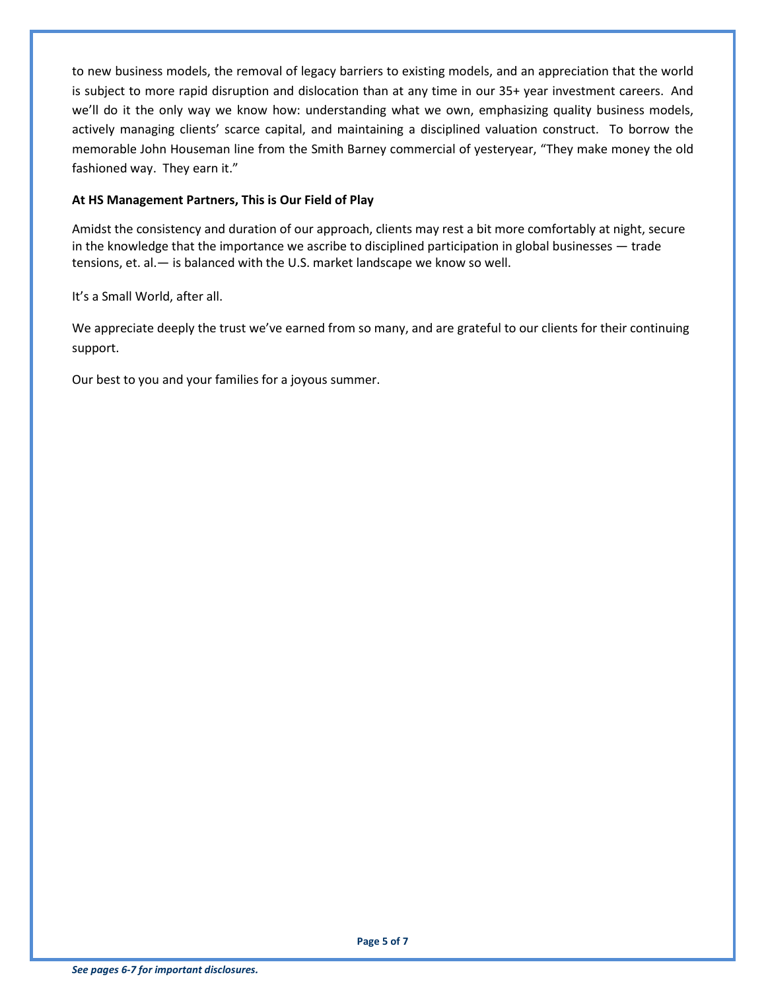to new business models, the removal of legacy barriers to existing models, and an appreciation that the world is subject to more rapid disruption and dislocation than at any time in our 35+ year investment careers. And we'll do it the only way we know how: understanding what we own, emphasizing quality business models, actively managing clients' scarce capital, and maintaining a disciplined valuation construct. To borrow the memorable John Houseman line from the Smith Barney commercial of yesteryear, "They make money the old fashioned way. They earn it."

# **At HS Management Partners, This is Our Field of Play**

Amidst the consistency and duration of our approach, clients may rest a bit more comfortably at night, secure in the knowledge that the importance we ascribe to disciplined participation in global businesses — trade tensions, et. al.— is balanced with the U.S. market landscape we know so well.

It's a Small World, after all.

We appreciate deeply the trust we've earned from so many, and are grateful to our clients for their continuing support.

Our best to you and your families for a joyous summer.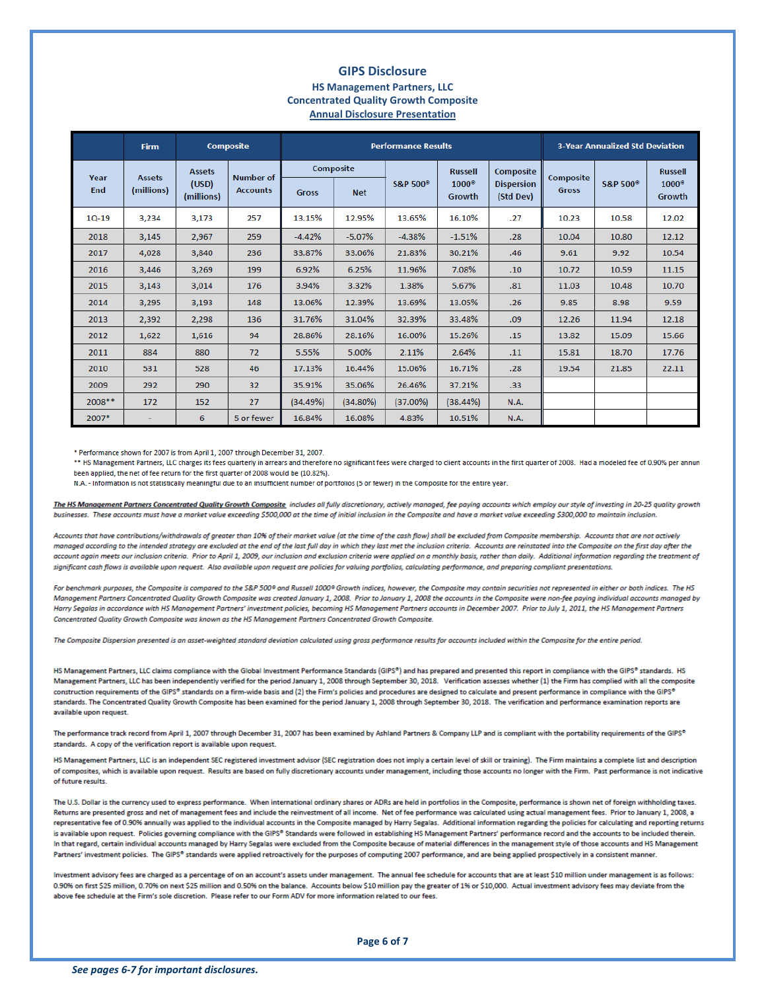#### **GIPS Disclosure HS Management Partners, LLC Concentrated Quality Growth Composite Annual Disclosure Presentation**

|             | <b>Firm</b>                 | <b>Composite</b>                     |                                     | <b>Performance Results</b>              |          |                      |                                |                                | <b>3-Year Annualized Std Deviation</b> |                                |                                |
|-------------|-----------------------------|--------------------------------------|-------------------------------------|-----------------------------------------|----------|----------------------|--------------------------------|--------------------------------|----------------------------------------|--------------------------------|--------------------------------|
| Year<br>End | <b>Assets</b><br>(millions) | <b>Assets</b><br>(USD)<br>(millions) | <b>Number of</b><br><b>Accounts</b> | Composite<br><b>Gross</b><br><b>Net</b> |          | S&P 500 <sup>®</sup> | <b>Russell</b><br>$1000^\circ$ | Composite<br><b>Dispersion</b> | Composite<br><b>Gross</b>              | <b>S&amp;P 500<sup>°</sup></b> | <b>Russell</b><br>$1000^\circ$ |
|             |                             |                                      |                                     |                                         |          |                      | Growth                         | (Std Dev)                      |                                        |                                | Growth                         |
| $10-19$     | 3,234                       | 3,173                                | 257                                 | 13.15%                                  | 12.95%   | 13.65%               | 16.10%                         | .27                            | 10.23                                  | 10.58                          | 12.02                          |
| 2018        | 3,145                       | 2,967                                | 259                                 | $-4.42%$                                | $-5.07%$ | $-4.38%$             | $-1.51%$                       | .28                            | 10.04                                  | 10.80                          | 12.12                          |
| 2017        | 4,028                       | 3,840                                | 236                                 | 33.87%                                  | 33.06%   | 21.83%               | 30.21%                         | .46                            | 9.61                                   | 9.92                           | 10.54                          |
| 2016        | 3,446                       | 3,269                                | 199                                 | 6.92%                                   | 6.25%    | 11.96%               | 7.08%                          | .10                            | 10.72                                  | 10.59                          | 11.15                          |
| 2015        | 3,143                       | 3,014                                | 176                                 | 3.94%                                   | 3.32%    | 1.38%                | 5.67%                          | .81                            | 11.03                                  | 10.48                          | 10.70                          |
| 2014        | 3,295                       | 3,193                                | 148                                 | 13.06%                                  | 12.39%   | 13.69%               | 13.05%                         | .26                            | 9.85                                   | 8.98                           | 9.59                           |
| 2013        | 2,392                       | 2,298                                | 136                                 | 31.76%                                  | 31.04%   | 32.39%               | 33.48%                         | .09                            | 12.26                                  | 11.94                          | 12.18                          |
| 2012        | 1,622                       | 1,616                                | 94                                  | 28.86%                                  | 28.16%   | 16.00%               | 15.26%                         | .15                            | 13.82                                  | 15.09                          | 15.66                          |
| 2011        | 884                         | 880                                  | 72                                  | 5.55%                                   | 5.00%    | 2.11%                | 2.64%                          | .11                            | 15.81                                  | 18.70                          | 17.76                          |
| 2010        | 531                         | 528                                  | 46                                  | 17.13%                                  | 16.44%   | 15.06%               | 16.71%                         | .28                            | 19.54                                  | 21.85                          | 22.11                          |
| 2009        | 292                         | 290                                  | 32                                  | 35.91%                                  | 35.06%   | 26.46%               | 37.21%                         | .33                            |                                        |                                |                                |
| $2008**$    | 172                         | 152                                  | 27                                  | (34.49%)                                | (34.80%) | $(37.00\%)$          | $(38.44\%)$                    | <b>N.A.</b>                    |                                        |                                |                                |
| 2007*       | $\overline{\phantom{0}}$    | 6                                    | 5 or fewer                          | 16.84%                                  | 16.08%   | 4.83%                | 10.51%                         | N.A.                           |                                        |                                |                                |

\* Performance shown for 2007 is from April 1, 2007 through December 31, 2007.

\*\* HS Management Partners, LLC charges its fees quarterly in arrears and therefore no significant fees were charged to client accounts in the first quarter of 2008. Had a modeled fee of 0.90% per annun been applied, the net of fee return for the first quarter of 2008 would be (10.82%).

N.A. - Information is not statistically meaningful due to an insufficient number of portfolios (5 or fewer) in the Composite for the entire year.

The HS Management Partners Concentrated Quality Growth Composite includes all fully discretionary, actively managed, fee paying accounts which employ our style of investing in 20-25 quality growth businesses. These accounts must have a market value exceeding \$500,000 at the time of initial inclusion in the Composite and have a market value exceeding \$300,000 to maintain inclusion

Accounts that have contributions/withdrawals of greater than 10% of their market value (at the time of the cash flow) shall be excluded from Composite membership. Accounts that are not actively managed according to the intended strategy are excluded at the end of the last full day in which they last met the inclusion criteria. Accounts are reinstated into the Composite on the first day after the account again meets our inclusion criteria. Prior to April 1, 2009, our inclusion and exclusion criteria were applied on a monthly basis, rather than daily. Additional information regarding the treatment of significant cash flows is available upon request. Also available upon request are policies for valuing portfolios, calculating performance, and preparing compliant presentations.

For benchmark purposes, the Composite is compared to the S&P 500<sup>®</sup> and Russell 1000<sup>®</sup> Growth indices, however, the Composite may contain securities not represented in either or both indices. The HS Management Partners Concentrated Quality Growth Composite was created January 1, 2008. Prior to January 1, 2008 the accounts in the Composite were non-fee paying individual accounts managed by Harry Segalas in accordance with HS Management Partners' investment policies, becoming HS Management Partners accounts in December 2007. Prior to July 1, 2011, the HS Management Partners Concentrated Quality Growth Composite was known as the HS Management Partners Concentrated Growth Composite.

The Composite Dispersion presented is an asset-weighted standard deviation calculated using gross performance results for accounts included within the Composite for the entire period.

HS Management Partners, LLC claims compliance with the Global Investment Performance Standards (GIPS®) and has prepared and presented this report in compliance with the GIPS® standards. HS Management Partners, LLC has been independently verified for the period January 1, 2008 through September 30, 2018. Verification assesses whether (1) the Firm has complied with all the composite construction requirements of the GIPS® standards on a firm-wide basis and (2) the Firm's policies and procedures are designed to calculate and present performance in compliance with the GIPS® standards. The Concentrated Quality Growth Composite has been examined for the period January 1, 2008 through September 30, 2018. The verification and performance examination reports are available upon request.

The performance track record from April 1, 2007 through December 31, 2007 has been examined by Ashland Partners & Company LLP and is compliant with the portability requirements of the GIPS® standards. A copy of the verification report is available upon request.

HS Management Partners, LLC is an independent SEC registered investment advisor (SEC registration does not imply a certain level of skill or training). The Firm maintains a complete list and description of composites, which is available upon request. Results are based on fully discretionary accounts under management, including those accounts no longer with the Firm. Past performance is not indicative of future results.

The U.S. Dollar is the currency used to express performance. When international ordinary shares or ADRs are held in portfolios in the Composite, performance is shown net of foreign withholding taxes. Returns are presented gross and net of management fees and include the reinvestment of all income. Net of fee performance was calculated using actual management fees. Prior to January 1, 2008, a representative fee of 0.90% annually was applied to the individual accounts in the Composite managed by Harry Segalas. Additional information regarding the policies for calculating and reporting returns is available upon request. Policies governing compliance with the GIPS® Standards were followed in establishing HS Management Partners' performance record and the accounts to be included therein. In that regard, certain individual accounts managed by Harry Segalas were excluded from the Composite because of material differences in the management style of those accounts and HS Management Partners' investment policies. The GIPS® standards were applied retroactively for the purposes of computing 2007 performance, and are being applied prospectively in a consistent manner.

Investment advisory fees are charged as a percentage of on an account's assets under management. The annual fee schedule for accounts that are at least \$10 million under management is as follows: 0.90% on first \$25 million, 0.70% on next \$25 million and 0.50% on the balance. Accounts below \$10 million pay the greater of 1% or \$10,000. Actual investment advisory fees may deviate from the above fee schedule at the Firm's sole discretion. Please refer to our Form ADV for more information related to our fees.

**Page 6 of 7**